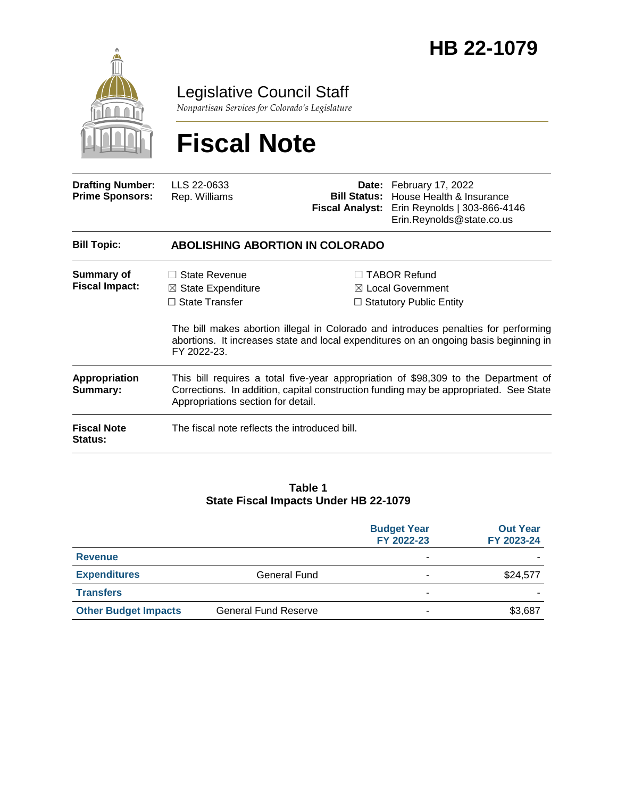

Legislative Council Staff

*Nonpartisan Services for Colorado's Legislature*

# **Fiscal Note**

| <b>Drafting Number:</b><br><b>Prime Sponsors:</b> | LLS 22-0633<br>Rep. Williams                                                                                                                                                                                       |  | <b>Date:</b> February 17, 2022<br><b>Bill Status:</b> House Health & Insurance<br>Fiscal Analyst: Erin Reynolds   303-866-4146<br>Erin.Reynolds@state.co.us                                                                                                           |  |
|---------------------------------------------------|--------------------------------------------------------------------------------------------------------------------------------------------------------------------------------------------------------------------|--|-----------------------------------------------------------------------------------------------------------------------------------------------------------------------------------------------------------------------------------------------------------------------|--|
| <b>Bill Topic:</b>                                | <b>ABOLISHING ABORTION IN COLORADO</b>                                                                                                                                                                             |  |                                                                                                                                                                                                                                                                       |  |
| <b>Summary of</b><br><b>Fiscal Impact:</b>        | State Revenue<br>$\boxtimes$ State Expenditure<br>$\Box$ State Transfer<br>FY 2022-23.                                                                                                                             |  | $\Box$ TABOR Refund<br>$\boxtimes$ Local Government<br>$\Box$ Statutory Public Entity<br>The bill makes abortion illegal in Colorado and introduces penalties for performing<br>abortions. It increases state and local expenditures on an ongoing basis beginning in |  |
| Appropriation<br>Summary:                         | This bill requires a total five-year appropriation of \$98,309 to the Department of<br>Corrections. In addition, capital construction funding may be appropriated. See State<br>Appropriations section for detail. |  |                                                                                                                                                                                                                                                                       |  |
| <b>Fiscal Note</b><br><b>Status:</b>              | The fiscal note reflects the introduced bill.                                                                                                                                                                      |  |                                                                                                                                                                                                                                                                       |  |

#### **Table 1 State Fiscal Impacts Under HB 22-1079**

|                             |                             | <b>Budget Year</b><br>FY 2022-23 | <b>Out Year</b><br>FY 2023-24 |
|-----------------------------|-----------------------------|----------------------------------|-------------------------------|
| <b>Revenue</b>              |                             | -                                |                               |
| <b>Expenditures</b>         | General Fund                |                                  | \$24,577                      |
| <b>Transfers</b>            |                             | -                                |                               |
| <b>Other Budget Impacts</b> | <b>General Fund Reserve</b> | $\blacksquare$                   | \$3,687                       |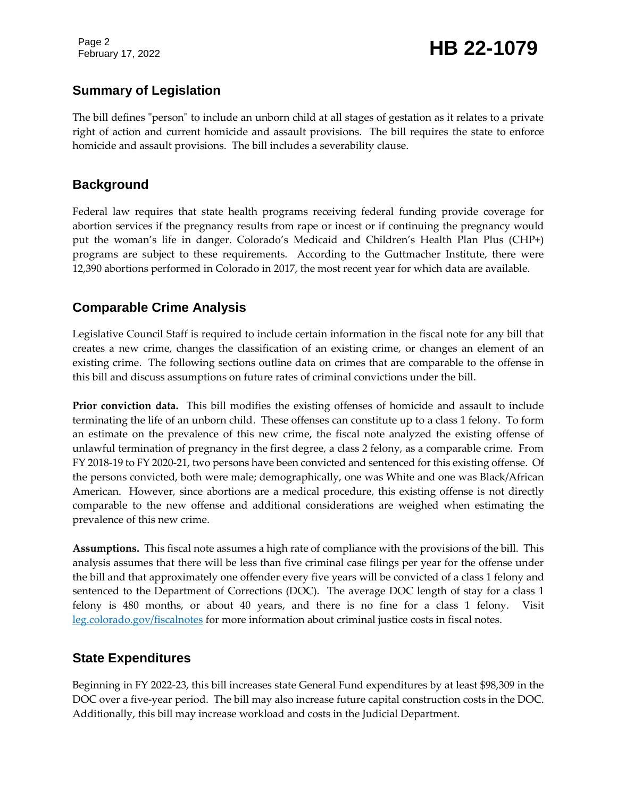Page 2

# February 17, 2022 **HB 22-1079**

### **Summary of Legislation**

The bill defines "person" to include an unborn child at all stages of gestation as it relates to a private right of action and current homicide and assault provisions. The bill requires the state to enforce homicide and assault provisions. The bill includes a severability clause.

### **Background**

Federal law requires that state health programs receiving federal funding provide coverage for abortion services if the pregnancy results from rape or incest or if continuing the pregnancy would put the woman's life in danger. Colorado's Medicaid and Children's Health Plan Plus (CHP+) programs are subject to these requirements. According to the Guttmacher Institute, there were 12,390 abortions performed in Colorado in 2017, the most recent year for which data are available.

## **Comparable Crime Analysis**

Legislative Council Staff is required to include certain information in the fiscal note for any bill that creates a new crime, changes the classification of an existing crime, or changes an element of an existing crime. The following sections outline data on crimes that are comparable to the offense in this bill and discuss assumptions on future rates of criminal convictions under the bill.

**Prior conviction data.** This bill modifies the existing offenses of homicide and assault to include terminating the life of an unborn child. These offenses can constitute up to a class 1 felony. To form an estimate on the prevalence of this new crime, the fiscal note analyzed the existing offense of unlawful termination of pregnancy in the first degree, a class 2 felony, as a comparable crime. From FY 2018-19 to FY 2020-21, two persons have been convicted and sentenced for this existing offense. Of the persons convicted, both were male; demographically, one was White and one was Black/African American. However, since abortions are a medical procedure, this existing offense is not directly comparable to the new offense and additional considerations are weighed when estimating the prevalence of this new crime.

**Assumptions.** This fiscal note assumes a high rate of compliance with the provisions of the bill. This analysis assumes that there will be less than five criminal case filings per year for the offense under the bill and that approximately one offender every five years will be convicted of a class 1 felony and sentenced to the Department of Corrections (DOC). The average DOC length of stay for a class 1 felony is 480 months, or about 40 years, and there is no fine for a class 1 felony. Visit [leg.colorado.gov/fiscalnotes](http://leg.colorado.gov/fiscalnotes/) for more information about criminal justice costs in fiscal notes.

### **State Expenditures**

Beginning in FY 2022-23, this bill increases state General Fund expenditures by at least \$98,309 in the DOC over a five-year period. The bill may also increase future capital construction costs in the DOC. Additionally, this bill may increase workload and costs in the Judicial Department.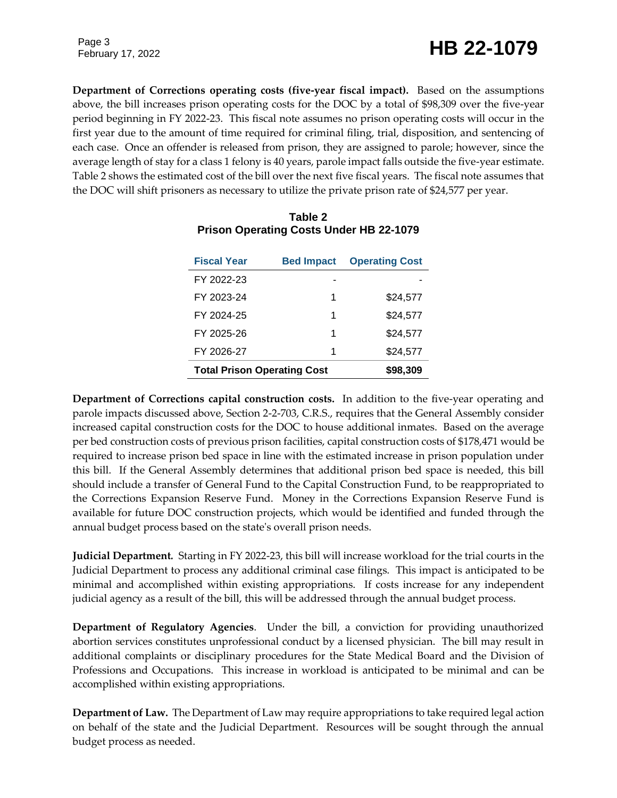# February 17, 2022 **HB 22-1079**

Page 3

**Department of Corrections operating costs (five-year fiscal impact).** Based on the assumptions above, the bill increases prison operating costs for the DOC by a total of \$98,309 over the five-year period beginning in FY 2022-23. This fiscal note assumes no prison operating costs will occur in the first year due to the amount of time required for criminal filing, trial, disposition, and sentencing of each case. Once an offender is released from prison, they are assigned to parole; however, since the average length of stay for a class 1 felony is 40 years, parole impact falls outside the five-year estimate. Table 2 shows the estimated cost of the bill over the next five fiscal years. The fiscal note assumes that the DOC will shift prisoners as necessary to utilize the private prison rate of \$24,577 per year.

| <b>Fiscal Year</b>                 | <b>Bed Impact</b> | <b>Operating Cost</b> |
|------------------------------------|-------------------|-----------------------|
| FY 2022-23                         |                   |                       |
| FY 2023-24                         | 1                 | \$24,577              |
| FY 2024-25                         | 1                 | \$24.577              |
| FY 2025-26                         | 1                 | \$24.577              |
| FY 2026-27                         | 1                 | \$24,577              |
| <b>Total Prison Operating Cost</b> | \$98.309          |                       |

#### **Table 2 Prison Operating Costs Under HB 22-1079**

**Department of Corrections capital construction costs.** In addition to the five-year operating and parole impacts discussed above, Section 2-2-703, C.R.S., requires that the General Assembly consider increased capital construction costs for the DOC to house additional inmates. Based on the average per bed construction costs of previous prison facilities, capital construction costs of \$178,471 would be required to increase prison bed space in line with the estimated increase in prison population under this bill. If the General Assembly determines that additional prison bed space is needed, this bill should include a transfer of General Fund to the Capital Construction Fund, to be reappropriated to the Corrections Expansion Reserve Fund. Money in the Corrections Expansion Reserve Fund is available for future DOC construction projects, which would be identified and funded through the annual budget process based on the state's overall prison needs.

**Judicial Department***.* Starting in FY 2022-23, this bill will increase workload for the trial courts in the Judicial Department to process any additional criminal case filings. This impact is anticipated to be minimal and accomplished within existing appropriations. If costs increase for any independent judicial agency as a result of the bill, this will be addressed through the annual budget process.

**Department of Regulatory Agencies**. Under the bill, a conviction for providing unauthorized abortion services constitutes unprofessional conduct by a licensed physician. The bill may result in additional complaints or disciplinary procedures for the State Medical Board and the Division of Professions and Occupations. This increase in workload is anticipated to be minimal and can be accomplished within existing appropriations.

**Department of Law.** The Department of Law may require appropriations to take required legal action on behalf of the state and the Judicial Department. Resources will be sought through the annual budget process as needed.